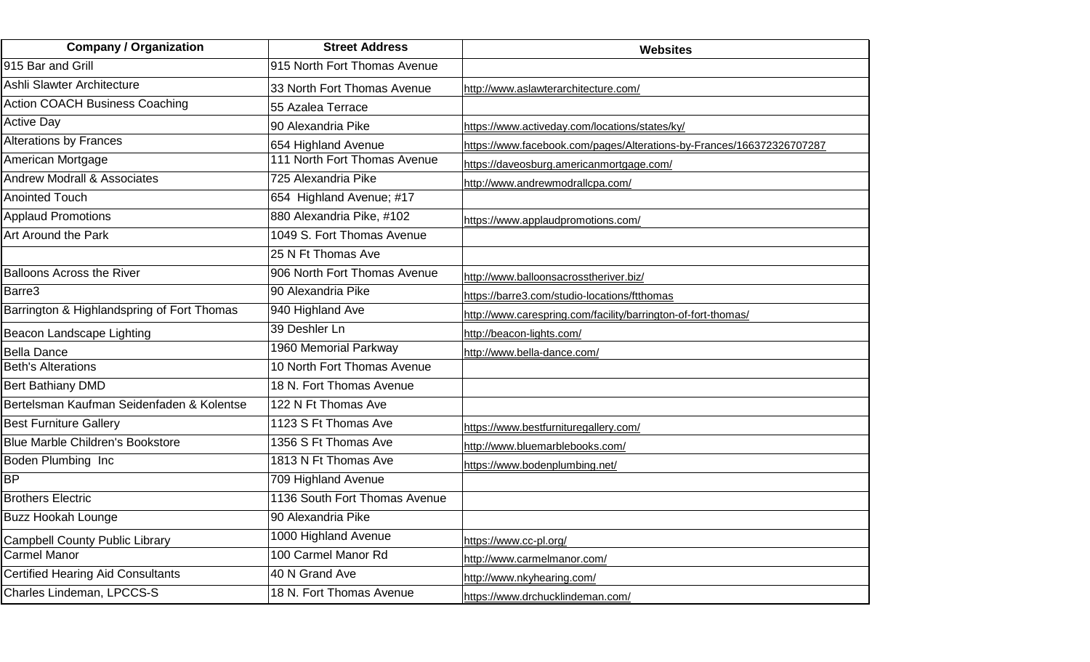| <b>Company / Organization</b>              | <b>Street Address</b>         | <b>Websites</b>                                                       |
|--------------------------------------------|-------------------------------|-----------------------------------------------------------------------|
| 915 Bar and Grill                          | 915 North Fort Thomas Avenue  |                                                                       |
| Ashli Slawter Architecture                 | 33 North Fort Thomas Avenue   | http://www.aslawterarchitecture.com/                                  |
| <b>Action COACH Business Coaching</b>      | 55 Azalea Terrace             |                                                                       |
| <b>Active Day</b>                          | 90 Alexandria Pike            | https://www.activeday.com/locations/states/ky/                        |
| <b>Alterations by Frances</b>              | 654 Highland Avenue           | https://www.facebook.com/pages/Alterations-by-Frances/166372326707287 |
| American Mortgage                          | 111 North Fort Thomas Avenue  | https://daveosburg.americanmortgage.com/                              |
| <b>Andrew Modrall &amp; Associates</b>     | 725 Alexandria Pike           | http://www.andrewmodrallcpa.com/                                      |
| <b>Anointed Touch</b>                      | 654 Highland Avenue; #17      |                                                                       |
| <b>Applaud Promotions</b>                  | 880 Alexandria Pike, #102     | https://www.applaudpromotions.com/                                    |
| Art Around the Park                        | 1049 S. Fort Thomas Avenue    |                                                                       |
|                                            | 25 N Ft Thomas Ave            |                                                                       |
| <b>Balloons Across the River</b>           | 906 North Fort Thomas Avenue  | http://www.balloonsacrosstheriver.biz/                                |
| Barre <sub>3</sub>                         | 90 Alexandria Pike            | https://barre3.com/studio-locations/ftthomas                          |
| Barrington & Highlandspring of Fort Thomas | 940 Highland Ave              | http://www.carespring.com/facility/barrington-of-fort-thomas/         |
| Beacon Landscape Lighting                  | 39 Deshler Ln                 | http://beacon-lights.com/                                             |
| <b>Bella Dance</b>                         | 1960 Memorial Parkway         | http://www.bella-dance.com/                                           |
| <b>Beth's Alterations</b>                  | 10 North Fort Thomas Avenue   |                                                                       |
| <b>Bert Bathiany DMD</b>                   | 18 N. Fort Thomas Avenue      |                                                                       |
| Bertelsman Kaufman Seidenfaden & Kolentse  | 122 N Ft Thomas Ave           |                                                                       |
| <b>Best Furniture Gallery</b>              | 1123 S Ft Thomas Ave          | https://www.bestfurnituregallery.com/                                 |
| <b>Blue Marble Children's Bookstore</b>    | 1356 S Ft Thomas Ave          | http://www.bluemarblebooks.com/                                       |
| Boden Plumbing Inc                         | 1813 N Ft Thomas Ave          | https://www.bodenplumbing.net/                                        |
| <b>BP</b>                                  | 709 Highland Avenue           |                                                                       |
| <b>Brothers Electric</b>                   | 1136 South Fort Thomas Avenue |                                                                       |
| <b>Buzz Hookah Lounge</b>                  | 90 Alexandria Pike            |                                                                       |
| <b>Campbell County Public Library</b>      | 1000 Highland Avenue          | https://www.cc-pl.org/                                                |
| <b>Carmel Manor</b>                        | 100 Carmel Manor Rd           | http://www.carmelmanor.com/                                           |
| <b>Certified Hearing Aid Consultants</b>   | 40 N Grand Ave                | http://www.nkyhearing.com/                                            |
| Charles Lindeman, LPCCS-S                  | 18 N. Fort Thomas Avenue      | https://www.drchucklindeman.com/                                      |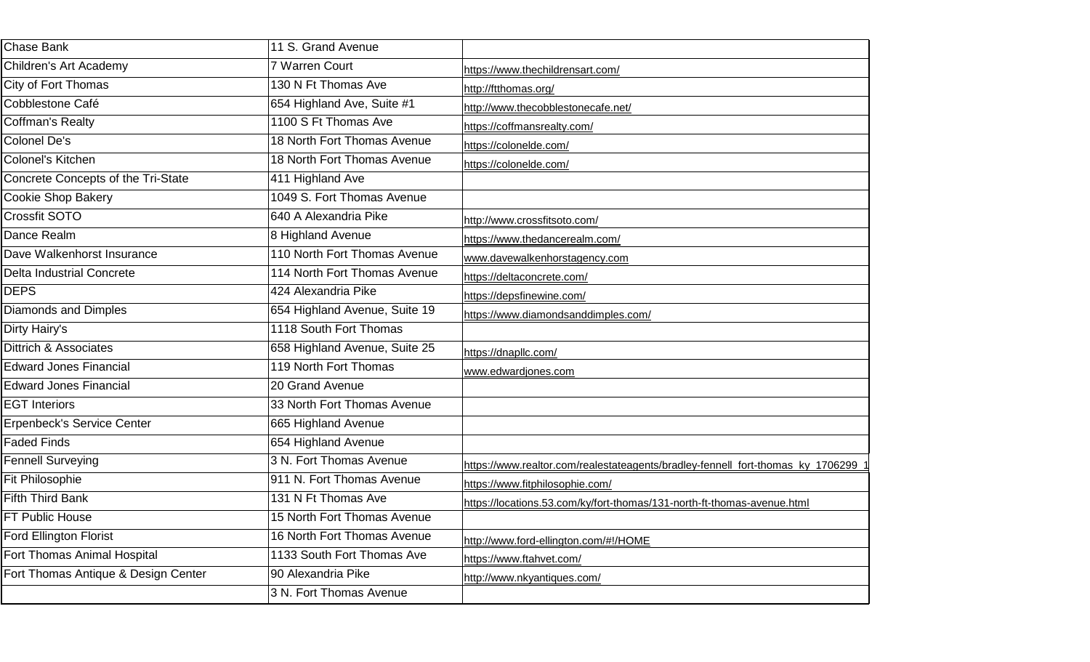| Chase Bank                          | 11 S. Grand Avenue            |                                                                                  |
|-------------------------------------|-------------------------------|----------------------------------------------------------------------------------|
| Children's Art Academy              | 7 Warren Court                | https://www.thechildrensart.com/                                                 |
| City of Fort Thomas                 | 130 N Ft Thomas Ave           | http://ftthomas.org/                                                             |
| Cobblestone Café                    | 654 Highland Ave, Suite #1    | http://www.thecobblestonecafe.net/                                               |
| <b>Coffman's Realty</b>             | 1100 S Ft Thomas Ave          | https://coffmansrealty.com/                                                      |
| Colonel De's                        | 18 North Fort Thomas Avenue   | https://colonelde.com/                                                           |
| Colonel's Kitchen                   | 18 North Fort Thomas Avenue   | https://colonelde.com/                                                           |
| Concrete Concepts of the Tri-State  | 411 Highland Ave              |                                                                                  |
| <b>Cookie Shop Bakery</b>           | 1049 S. Fort Thomas Avenue    |                                                                                  |
| Crossfit SOTO                       | 640 A Alexandria Pike         | http://www.crossfitsoto.com/                                                     |
| Dance Realm                         | 8 Highland Avenue             | https://www.thedancerealm.com/                                                   |
| Dave Walkenhorst Insurance          | 110 North Fort Thomas Avenue  | www.davewalkenhorstagency.com                                                    |
| <b>Delta Industrial Concrete</b>    | 114 North Fort Thomas Avenue  | https://deltaconcrete.com/                                                       |
| <b>DEPS</b>                         | 424 Alexandria Pike           | https://depsfinewine.com/                                                        |
| <b>Diamonds and Dimples</b>         | 654 Highland Avenue, Suite 19 | https://www.diamondsanddimples.com/                                              |
| Dirty Hairy's                       | 1118 South Fort Thomas        |                                                                                  |
| Dittrich & Associates               | 658 Highland Avenue, Suite 25 | https://dnapllc.com/                                                             |
| <b>Edward Jones Financial</b>       | 119 North Fort Thomas         | www.edwardjones.com                                                              |
| <b>Edward Jones Financial</b>       | 20 Grand Avenue               |                                                                                  |
| <b>EGT Interiors</b>                | 33 North Fort Thomas Avenue   |                                                                                  |
| <b>Erpenbeck's Service Center</b>   | 665 Highland Avenue           |                                                                                  |
| <b>Faded Finds</b>                  | 654 Highland Avenue           |                                                                                  |
| <b>Fennell Surveying</b>            | 3 N. Fort Thomas Avenue       | https://www.realtor.com/realestateagents/bradley-fennell_fort-thomas_ky_1706299_ |
| <b>Fit Philosophie</b>              | 911 N. Fort Thomas Avenue     | https://www.fitphilosophie.com/                                                  |
| <b>Fifth Third Bank</b>             | 131 N Ft Thomas Ave           | https://locations.53.com/ky/fort-thomas/131-north-ft-thomas-avenue.html          |
| FT Public House                     | 15 North Fort Thomas Avenue   |                                                                                  |
| Ford Ellington Florist              | 16 North Fort Thomas Avenue   | http://www.ford-ellington.com/#!/HOME                                            |
| Fort Thomas Animal Hospital         | 1133 South Fort Thomas Ave    | https://www.ftahvet.com/                                                         |
| Fort Thomas Antique & Design Center | 90 Alexandria Pike            | http://www.nkyantiques.com/                                                      |
|                                     | 3 N. Fort Thomas Avenue       |                                                                                  |
|                                     |                               |                                                                                  |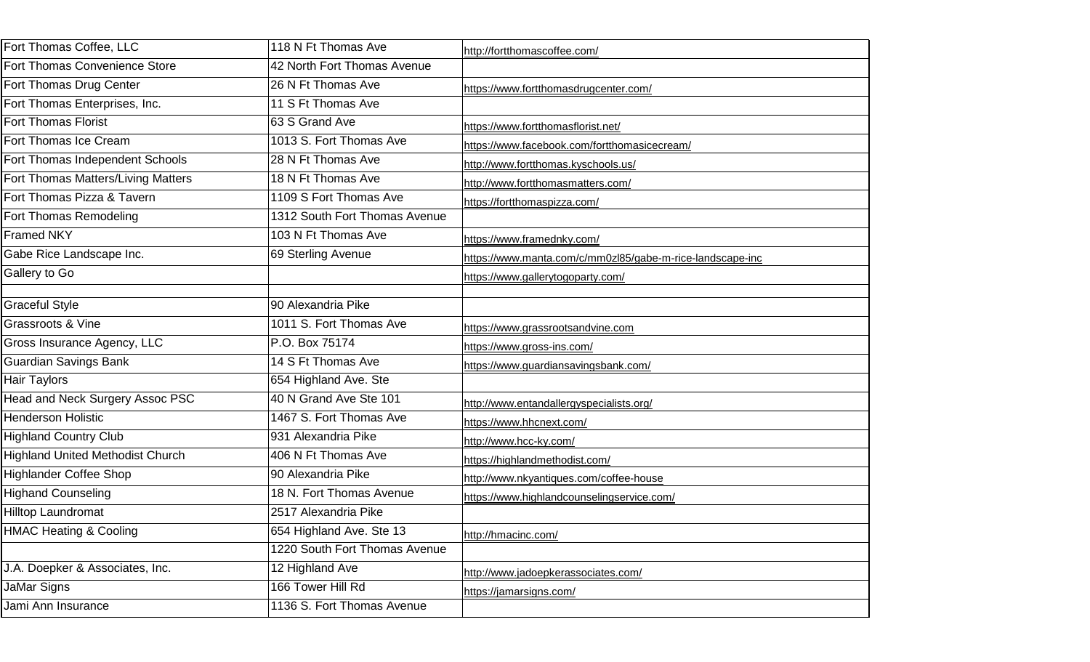| Fort Thomas Coffee, LLC                 | 118 N Ft Thomas Ave           | http://fortthomascoffee.com/                              |
|-----------------------------------------|-------------------------------|-----------------------------------------------------------|
| Fort Thomas Convenience Store           | 42 North Fort Thomas Avenue   |                                                           |
| Fort Thomas Drug Center                 | 26 N Ft Thomas Ave            | https://www.fortthomasdrugcenter.com/                     |
| Fort Thomas Enterprises, Inc.           | 11 S Ft Thomas Ave            |                                                           |
| <b>Fort Thomas Florist</b>              | 63 S Grand Ave                | https://www.fortthomasflorist.net/                        |
| Fort Thomas Ice Cream                   | 1013 S. Fort Thomas Ave       | https://www.facebook.com/fortthomasicecream/              |
| Fort Thomas Independent Schools         | 28 N Ft Thomas Ave            | http://www.fortthomas.kyschools.us/                       |
| Fort Thomas Matters/Living Matters      | 18 N Ft Thomas Ave            | http://www.fortthomasmatters.com/                         |
| Fort Thomas Pizza & Tavern              | 1109 S Fort Thomas Ave        | https://fortthomaspizza.com/                              |
| Fort Thomas Remodeling                  | 1312 South Fort Thomas Avenue |                                                           |
| <b>Framed NKY</b>                       | 103 N Ft Thomas Ave           | https://www.framednky.com/                                |
| Gabe Rice Landscape Inc.                | 69 Sterling Avenue            | https://www.manta.com/c/mm0zl85/gabe-m-rice-landscape-inc |
| Gallery to Go                           |                               | https://www.gallerytogoparty.com/                         |
|                                         |                               |                                                           |
| <b>Graceful Style</b>                   | 90 Alexandria Pike            |                                                           |
| Grassroots & Vine                       | 1011 S. Fort Thomas Ave       | https://www.grassrootsandvine.com                         |
| Gross Insurance Agency, LLC             | P.O. Box 75174                | https://www.gross-ins.com/                                |
| Guardian Savings Bank                   | 14 S Ft Thomas Ave            | https://www.guardiansavingsbank.com/                      |
| Hair Taylors                            | 654 Highland Ave. Ste         |                                                           |
| Head and Neck Surgery Assoc PSC         | 40 N Grand Ave Ste 101        | http://www.entandallergyspecialists.org/                  |
| <b>Henderson Holistic</b>               | 1467 S. Fort Thomas Ave       | https://www.hhcnext.com/                                  |
| <b>Highland Country Club</b>            | 931 Alexandria Pike           | http://www.hcc-ky.com/                                    |
| <b>Highland United Methodist Church</b> | 406 N Ft Thomas Ave           | https://highlandmethodist.com/                            |
| <b>Highlander Coffee Shop</b>           | 90 Alexandria Pike            | http://www.nkyantiques.com/coffee-house                   |
| <b>Highand Counseling</b>               | 18 N. Fort Thomas Avenue      | https://www.highlandcounselingservice.com/                |
| <b>Hilltop Laundromat</b>               | 2517 Alexandria Pike          |                                                           |
| <b>HMAC Heating &amp; Cooling</b>       | 654 Highland Ave. Ste 13      | http://hmacinc.com/                                       |
|                                         | 1220 South Fort Thomas Avenue |                                                           |
| J.A. Doepker & Associates, Inc.         | 12 Highland Ave               | http://www.jadoepkerassociates.com/                       |
| JaMar Signs                             | 166 Tower Hill Rd             | https://jamarsigns.com/                                   |
| Jami Ann Insurance                      | 1136 S. Fort Thomas Avenue    |                                                           |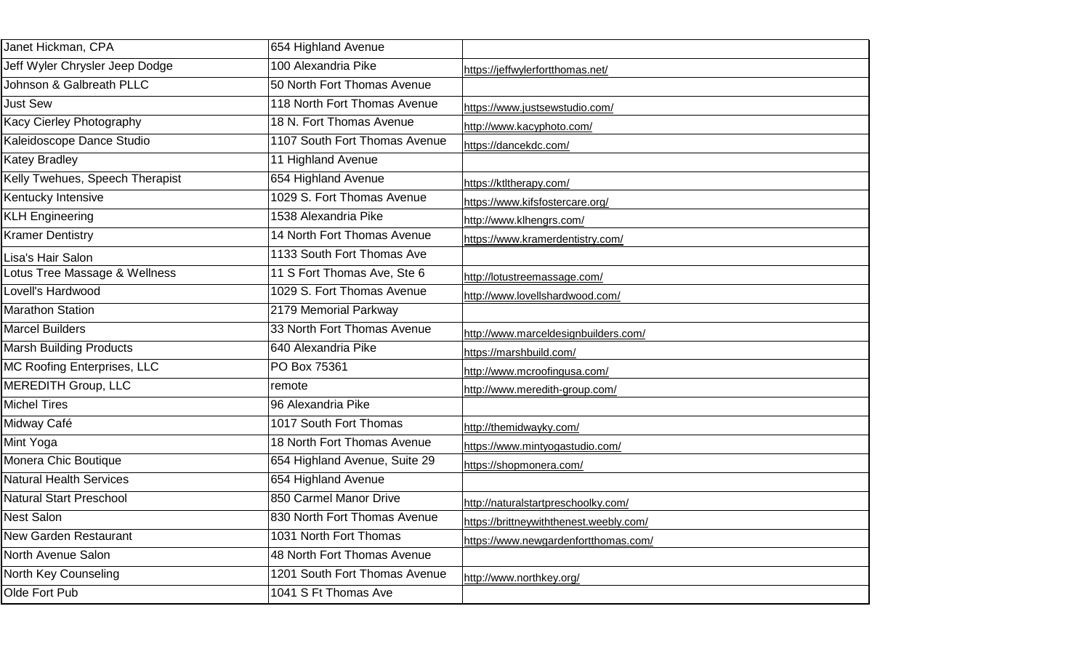| Janet Hickman, CPA              | 654 Highland Avenue           |                                         |
|---------------------------------|-------------------------------|-----------------------------------------|
| Jeff Wyler Chrysler Jeep Dodge  | 100 Alexandria Pike           | https://jeffwylerfortthomas.net/        |
| Johnson & Galbreath PLLC        | 50 North Fort Thomas Avenue   |                                         |
| <b>Just Sew</b>                 | 118 North Fort Thomas Avenue  | https://www.justsewstudio.com/          |
| Kacy Cierley Photography        | 18 N. Fort Thomas Avenue      | http://www.kacyphoto.com/               |
| Kaleidoscope Dance Studio       | 1107 South Fort Thomas Avenue | https://dancekdc.com/                   |
| <b>Katey Bradley</b>            | 11 Highland Avenue            |                                         |
| Kelly Twehues, Speech Therapist | 654 Highland Avenue           | https://ktltherapy.com/                 |
| Kentucky Intensive              | 1029 S. Fort Thomas Avenue    | https://www.kifsfostercare.org/         |
| <b>KLH Engineering</b>          | 1538 Alexandria Pike          | http://www.klhengrs.com/                |
| <b>Kramer Dentistry</b>         | 14 North Fort Thomas Avenue   | https://www.kramerdentistry.com/        |
| Lisa's Hair Salon               | 1133 South Fort Thomas Ave    |                                         |
| Lotus Tree Massage & Wellness   | 11 S Fort Thomas Ave, Ste 6   | http://lotustreemassage.com/            |
| Lovell's Hardwood               | 1029 S. Fort Thomas Avenue    | http://www.lovellshardwood.com/         |
| <b>Marathon Station</b>         | 2179 Memorial Parkway         |                                         |
| <b>Marcel Builders</b>          | 33 North Fort Thomas Avenue   | http://www.marceldesignbuilders.com/    |
| <b>Marsh Building Products</b>  | 640 Alexandria Pike           | https://marshbuild.com/                 |
| MC Roofing Enterprises, LLC     | PO Box 75361                  | http://www.mcroofingusa.com/            |
| <b>MEREDITH Group, LLC</b>      | remote                        | http://www.meredith-group.com/          |
| <b>Michel Tires</b>             | 96 Alexandria Pike            |                                         |
| Midway Café                     | 1017 South Fort Thomas        | http://themidwayky.com/                 |
| Mint Yoga                       | 18 North Fort Thomas Avenue   | https://www.mintyogastudio.com/         |
| Monera Chic Boutique            | 654 Highland Avenue, Suite 29 | https://shopmonera.com/                 |
| <b>Natural Health Services</b>  | 654 Highland Avenue           |                                         |
| <b>Natural Start Preschool</b>  | 850 Carmel Manor Drive        | http://naturalstartpreschoolky.com/     |
| <b>Nest Salon</b>               | 830 North Fort Thomas Avenue  | https://brittneywiththenest.weebly.com/ |
| <b>New Garden Restaurant</b>    | 1031 North Fort Thomas        | https://www.newgardenfortthomas.com/    |
| North Avenue Salon              | 48 North Fort Thomas Avenue   |                                         |
| North Key Counseling            | 1201 South Fort Thomas Avenue | http://www.northkey.org/                |
| Olde Fort Pub                   | 1041 S Ft Thomas Ave          |                                         |
|                                 |                               |                                         |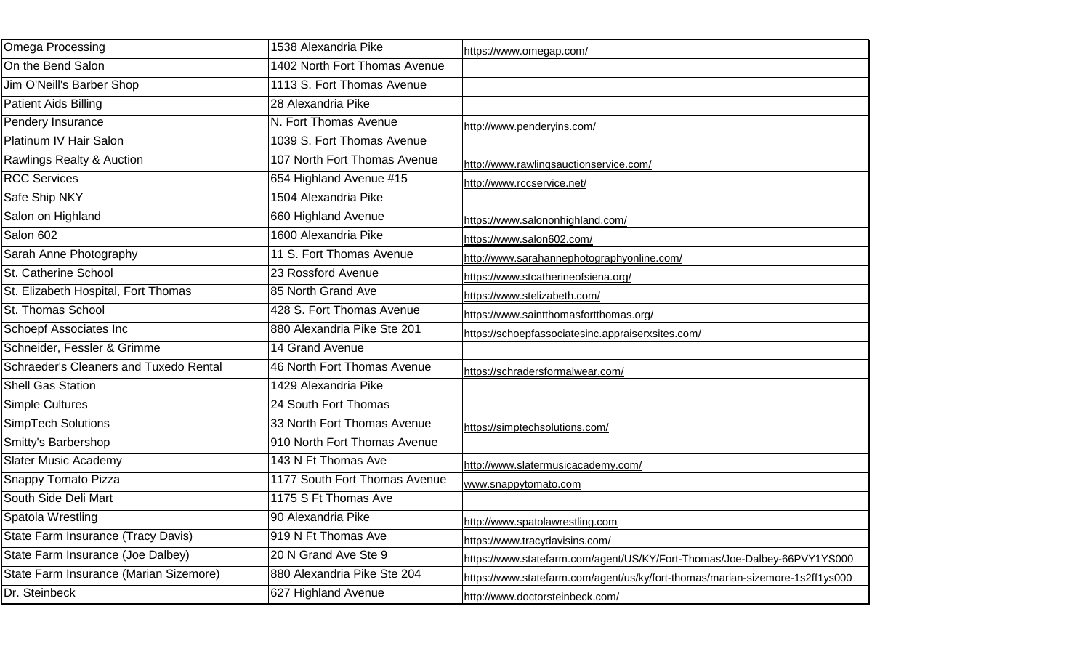| <b>Omega Processing</b>                | 1538 Alexandria Pike          | https://www.omegap.com/                                                       |
|----------------------------------------|-------------------------------|-------------------------------------------------------------------------------|
| On the Bend Salon                      | 1402 North Fort Thomas Avenue |                                                                               |
| Jim O'Neill's Barber Shop              | 1113 S. Fort Thomas Avenue    |                                                                               |
| <b>Patient Aids Billing</b>            | 28 Alexandria Pike            |                                                                               |
| Pendery Insurance                      | N. Fort Thomas Avenue         | http://www.penderyins.com/                                                    |
| Platinum IV Hair Salon                 | 1039 S. Fort Thomas Avenue    |                                                                               |
| <b>Rawlings Realty &amp; Auction</b>   | 107 North Fort Thomas Avenue  | http://www.rawlingsauctionservice.com/                                        |
| <b>RCC Services</b>                    | 654 Highland Avenue #15       | http://www.rccservice.net/                                                    |
| Safe Ship NKY                          | 1504 Alexandria Pike          |                                                                               |
| Salon on Highland                      | 660 Highland Avenue           | https://www.salononhighland.com/                                              |
| Salon 602                              | 1600 Alexandria Pike          | https://www.salon602.com/                                                     |
| Sarah Anne Photography                 | 11 S. Fort Thomas Avenue      | http://www.sarahannephotographyonline.com/                                    |
| St. Catherine School                   | 23 Rossford Avenue            | https://www.stcatherineofsiena.org/                                           |
| St. Elizabeth Hospital, Fort Thomas    | 85 North Grand Ave            | https://www.stelizabeth.com/                                                  |
| St. Thomas School                      | 428 S. Fort Thomas Avenue     | https://www.saintthomasfortthomas.org/                                        |
| <b>Schoepf Associates Inc</b>          | 880 Alexandria Pike Ste 201   | https://schoepfassociatesinc.appraiserxsites.com/                             |
| Schneider, Fessler & Grimme            | 14 Grand Avenue               |                                                                               |
| Schraeder's Cleaners and Tuxedo Rental | 46 North Fort Thomas Avenue   | https://schradersformalwear.com/                                              |
| <b>Shell Gas Station</b>               | 1429 Alexandria Pike          |                                                                               |
| <b>Simple Cultures</b>                 | 24 South Fort Thomas          |                                                                               |
| SimpTech Solutions                     | 33 North Fort Thomas Avenue   | https://simptechsolutions.com/                                                |
| Smitty's Barbershop                    | 910 North Fort Thomas Avenue  |                                                                               |
| <b>Slater Music Academy</b>            | 143 N Ft Thomas Ave           | http://www.slatermusicacademy.com/                                            |
| Snappy Tomato Pizza                    | 1177 South Fort Thomas Avenue | www.snappytomato.com                                                          |
| South Side Deli Mart                   | 1175 S Ft Thomas Ave          |                                                                               |
| Spatola Wrestling                      | 90 Alexandria Pike            | http://www.spatolawrestling.com                                               |
| State Farm Insurance (Tracy Davis)     | 919 N Ft Thomas Ave           | https://www.tracydavisins.com/                                                |
| State Farm Insurance (Joe Dalbey)      | 20 N Grand Ave Ste 9          | https://www.statefarm.com/agent/US/KY/Fort-Thomas/Joe-Dalbey-66PVY1YS000      |
| State Farm Insurance (Marian Sizemore) | 880 Alexandria Pike Ste 204   | https://www.statefarm.com/agent/us/ky/fort-thomas/marian-sizemore-1s2ff1ys000 |
| Dr. Steinbeck                          | 627 Highland Avenue           | http://www.doctorsteinbeck.com/                                               |